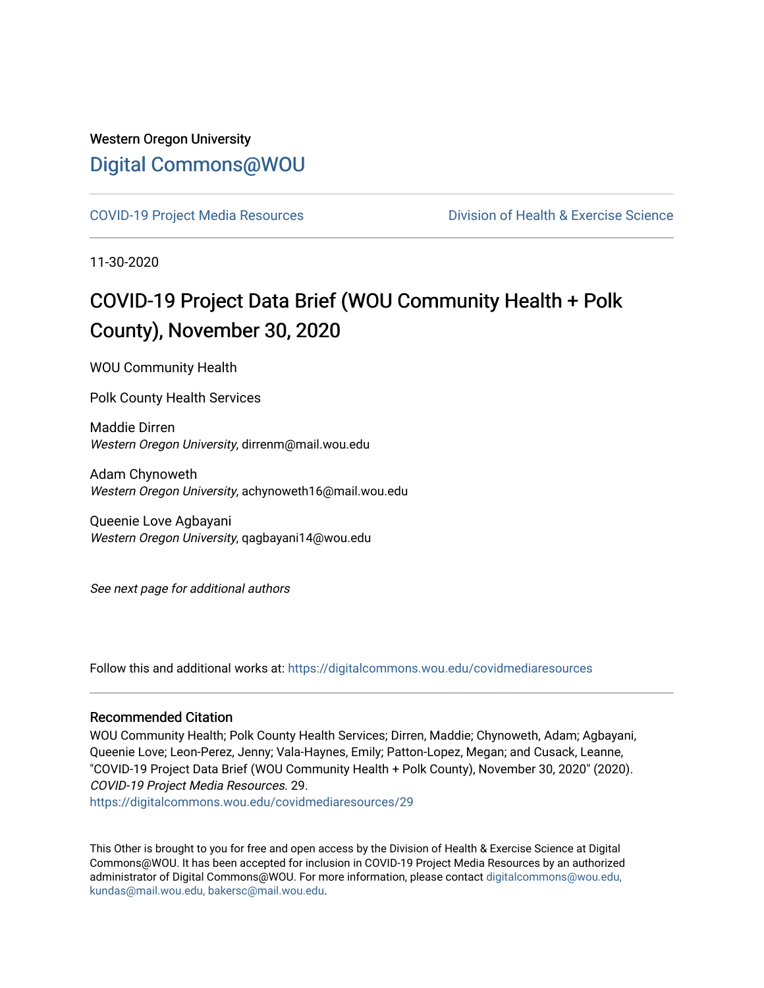## Western Oregon University [Digital Commons@WOU](https://digitalcommons.wou.edu/)

[COVID-19 Project Media Resources](https://digitalcommons.wou.edu/covidmediaresources) [Division of Health & Exercise Science](https://digitalcommons.wou.edu/healthexercise) 

11-30-2020

# COVID-19 Project Data Brief (WOU Community Health + Polk County), November 30, 2020

WOU Community Health

Polk County Health Services

Maddie Dirren Western Oregon University, dirrenm@mail.wou.edu

Adam Chynoweth Western Oregon University, achynoweth16@mail.wou.edu

Queenie Love Agbayani Western Oregon University, qagbayani14@wou.edu

See next page for additional authors

Follow this and additional works at: [https://digitalcommons.wou.edu/covidmediaresources](https://digitalcommons.wou.edu/covidmediaresources?utm_source=digitalcommons.wou.edu%2Fcovidmediaresources%2F29&utm_medium=PDF&utm_campaign=PDFCoverPages)

#### Recommended Citation

WOU Community Health; Polk County Health Services; Dirren, Maddie; Chynoweth, Adam; Agbayani, Queenie Love; Leon-Perez, Jenny; Vala-Haynes, Emily; Patton-Lopez, Megan; and Cusack, Leanne, "COVID-19 Project Data Brief (WOU Community Health + Polk County), November 30, 2020" (2020). COVID-19 Project Media Resources. 29.

[https://digitalcommons.wou.edu/covidmediaresources/29](https://digitalcommons.wou.edu/covidmediaresources/29?utm_source=digitalcommons.wou.edu%2Fcovidmediaresources%2F29&utm_medium=PDF&utm_campaign=PDFCoverPages) 

This Other is brought to you for free and open access by the Division of Health & Exercise Science at Digital Commons@WOU. It has been accepted for inclusion in COVID-19 Project Media Resources by an authorized administrator of Digital Commons@WOU. For more information, please contact [digitalcommons@wou.edu,](mailto:digitalcommons@wou.edu,%20kundas@mail.wou.edu,%20bakersc@mail.wou.edu)  [kundas@mail.wou.edu, bakersc@mail.wou.edu.](mailto:digitalcommons@wou.edu,%20kundas@mail.wou.edu,%20bakersc@mail.wou.edu)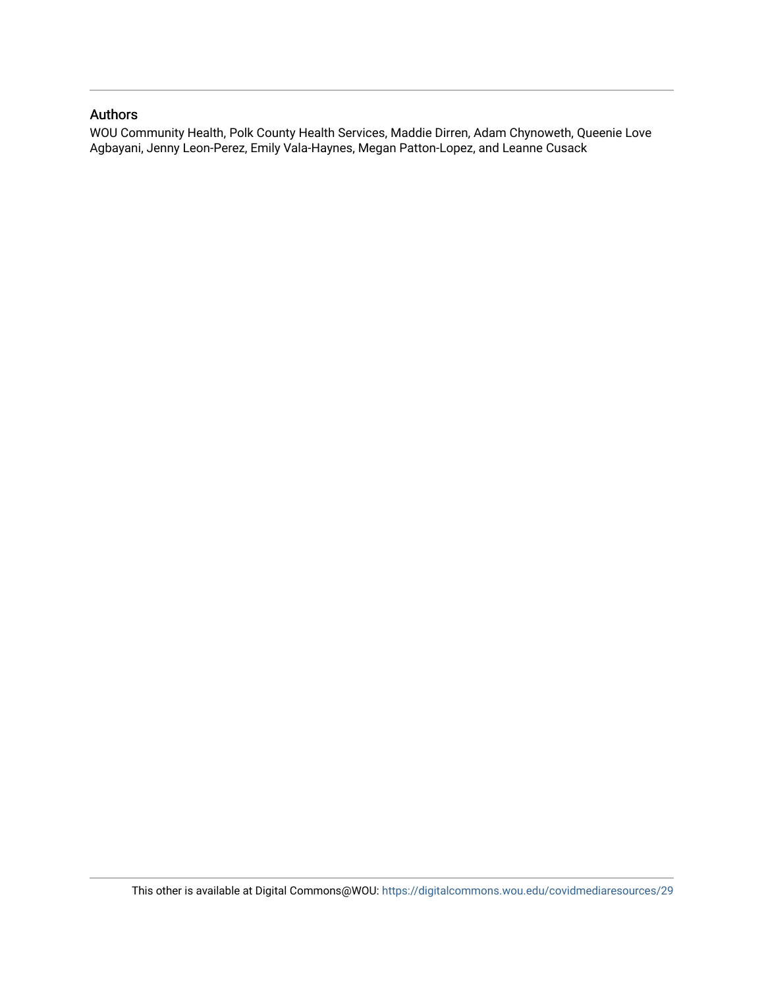#### Authors

WOU Community Health, Polk County Health Services, Maddie Dirren, Adam Chynoweth, Queenie Love Agbayani, Jenny Leon-Perez, Emily Vala-Haynes, Megan Patton-Lopez, and Leanne Cusack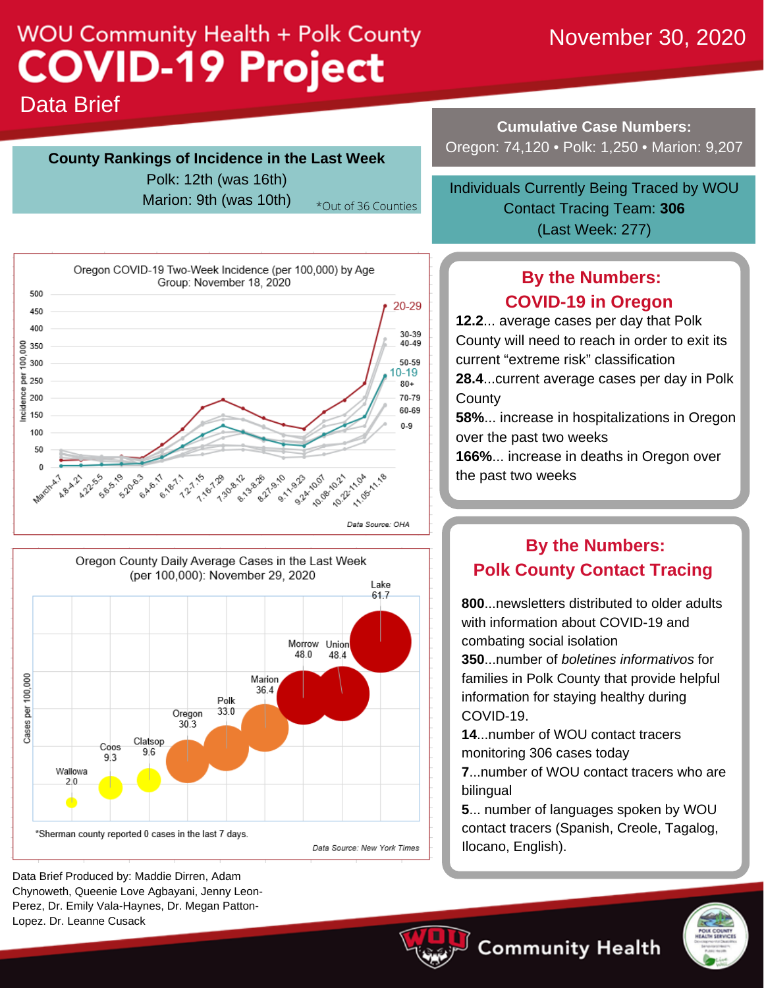# **WOU Community Health + Polk County COVID-19 Project**

# November 30, 2020

Data Brief

### **County Rankings of Incidence in the Last Week**

Polk: 12th (was 16th)

Marion: 9th (was  $10th$ )  $*_{Out of 36$  Counties





Data Brief Produced by: Maddie Dirren, Adam Chynoweth, Queenie Love Agbayani, Jenny Leon-Perez, Dr. Emily Vala-Haynes, Dr. Megan Patton-Lopez. Dr. Leanne Cusack

**Cumulative Case Numbers:** Oregon: 74,120 • Polk: 1,250 • Marion: 9,207

Contact Tracing Team: **306** (Last Week: 277) Individuals Currently Being Traced by WOU

# **By the Numbers: COVID-19 in Oregon**

 **12.2**... average cases per day that Polk County will need to reach in order to exit its current "extreme risk" classification **28.4**...current average cases per day in Polk

**County** 

 **58%**... increase in hospitalizations in Oregon over the past two weeks

 **166%**... increase in deaths in Oregon over the past two weeks

# **By the Numbers: Polk County Contact Tracing**

 **800**...newsletters distributed to older adults with information about COVID-19 and combating social isolation

 **350**...number of *boletines informativos* for families in Polk County that provide helpful information for staying healthy during COVID-19.

 **14**...number of WOU contact tracers monitoring 306 cases today

 **7**...number of WOU contact tracers who are bilingual

 **5**... number of languages spoken by WOU contact tracers (Spanish, Creole, Tagalog, Ilocano, English).